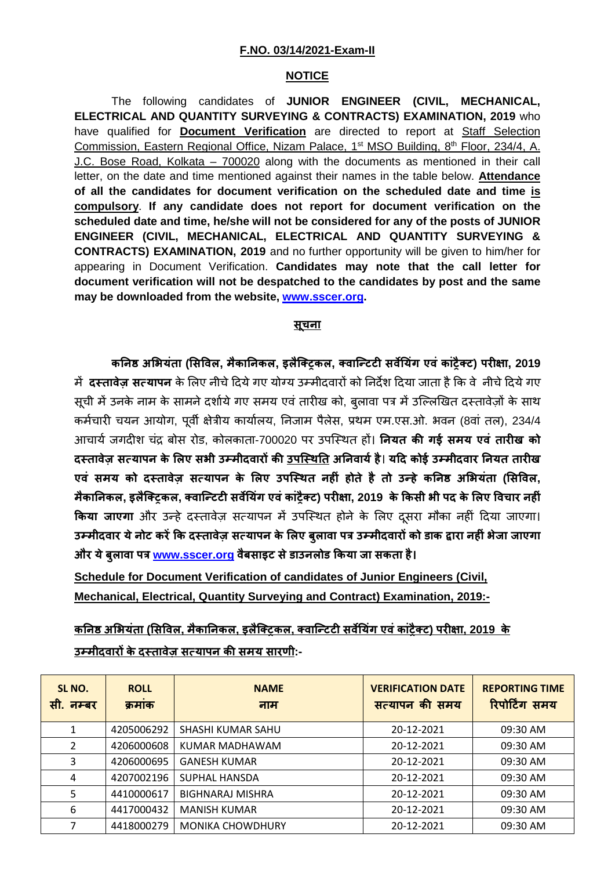## **F.NO. 03/14/2021-Exam-II**

## **NOTICE**

The following candidates of **JUNIOR ENGINEER (CIVIL, MECHANICAL, ELECTRICAL AND QUANTITY SURVEYING & CONTRACTS) EXAMINATION, 2019** who have qualified for **Document Verification** are directed to report at Staff Selection Commission, Eastern Regional Office, Nizam Palace, 1<sup>st</sup> MSO Building, 8<sup>th</sup> Floor, 234/4, A. J.C. Bose Road, Kolkata – 700020 along with the documents as mentioned in their call letter, on the date and time mentioned against their names in the table below. **Attendance of all the candidates for document verification on the scheduled date and time is compulsory**. **If any candidate does not report for document verification on the scheduled date and time, he/she will not be considered for any of the posts of JUNIOR ENGINEER (CIVIL, MECHANICAL, ELECTRICAL AND QUANTITY SURVEYING & CONTRACTS) EXAMINATION, 2019** and no further opportunity will be given to him/her for appearing in Document Verification. **Candidates may note that the call letter for document verification will not be despatched to the candidates by post and the same may be downloaded from the website, [www.sscer.org.](http://www.sscer.org/)**

## **सूचना**

**क�न� अ�भयंता (�स�वल, मैका�नकल, इलैिक्ट्रकल, क्वािन्टट� सव��यंग एवं कांट्रैक्ट) पर��ा, 2019** म� **दस्तावेज़ सत्यापन** के �लए नीचे�दयेगए योग्य उम्मीदवार� को �नद�श �दया जाता है�क वे नीचे�दयेगए सूची में उनके नाम के सामने दर्शाये गए समय एवं तारीख को, बुलावा पत्र में उल्लिखित दस्तावेजों के साथ कर्मचारी चयन आयोग, पूर्वी क्षेत्रीय कार्यालय, निजाम पैलेस, प्रथम एम.एस.ओ. भवन (8वां तल), 234/4 आचायर् जगद�श चंद्र बोस रोड, कोलकाता-700020 पर उपिस्थत ह�। **�नयत क� गई समय एवं तार�ख को दस्तावेज़ सत्यापन के �लए सभी उम्मीदवार� क� उपिस्थ�त अ�नवायर्है**। **य�द कोई उम्मीदवार �नयत तार�ख एवं समय को दस्तावेज़ सत्यापन के �लए उपिस्थत नह�ं होते है तो उन्हे क�न� अ�भयंता (�स�वल,** मैकानिकल, इलैक्ट्रिकल, क्वान्टिटी सर्वेयिंग एवं कांट्रैक्ट) परीक्षा, 2019 के किसी भी पद के लिए विचार नहीं **किया जाएगा** और उन्हें दस्तावेज़ सत्यापन में उपस्थित होने के लिए दूसरा मौका नहीं दिया जाएगा। **उम्मीदवार येनोट कर��क दस्तावेज़ सत्यापन के �लए बुलावा पत्र उम्मीदवार� को डाक �ारा नह�ंभेजा जाएगा और येबुलावा पत्र [www.sscer.org](http://www.sscer.org/) वैबसाइट सेडाउनलोड �कया जा सकता है।**

**Schedule for Document Verification of candidates of Junior Engineers (Civil, Mechanical, Electrical, Quantity Surveying and Contract) Examination, 2019:-**

**क�न� अ�भयंता (�स�वल, मैका�नकल, इलैिक्ट्रकल, क्वािन्टट� सव��यंग एवंकांट्रैक्ट) पर��ा, 2019 के उम्मीदवार� के दस्तावेज़ सत्यापन क� समय सारणी:-**

| SL NO.<br>सी. नम्बर | <b>ROLL</b><br>क्रमाक | <b>NAME</b><br>नाम      | <b>VERIFICATION DATE</b><br>सत्यापन की समय | <b>REPORTING TIME</b><br>रिपोर्टिंग समय |
|---------------------|-----------------------|-------------------------|--------------------------------------------|-----------------------------------------|
|                     | 4205006292            | SHASHI KUMAR SAHU       | 20-12-2021                                 | 09:30 AM                                |
| 2                   | 4206000608            | KUMAR MADHAWAM          | 20-12-2021                                 | 09:30 AM                                |
| 3                   | 4206000695            | <b>GANESH KUMAR</b>     | 20-12-2021                                 | 09:30 AM                                |
| 4                   | 4207002196            | SUPHAL HANSDA           | 20-12-2021                                 | 09:30 AM                                |
| 5                   | 4410000617            | <b>BIGHNARAJ MISHRA</b> | 20-12-2021                                 | 09:30 AM                                |
| 6                   | 4417000432            | <b>MANISH KUMAR</b>     | 20-12-2021                                 | 09:30 AM                                |
| 7                   | 4418000279            | <b>MONIKA CHOWDHURY</b> | 20-12-2021                                 | 09:30 AM                                |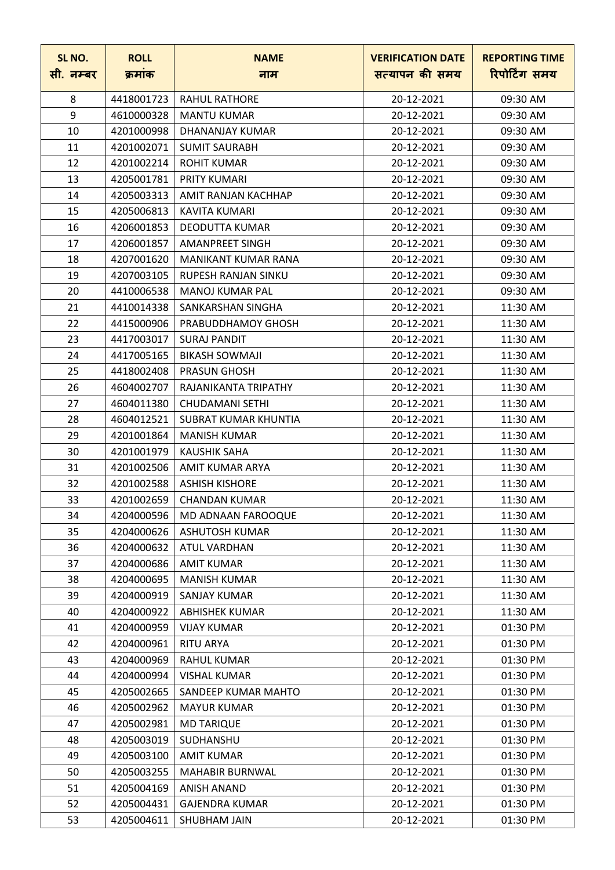| SL NO.<br>सी. नम्बर | <b>ROLL</b><br>क्रमांक | <b>NAME</b><br>नाम         | <b>VERIFICATION DATE</b><br>सत्यापन की समय | <b>REPORTING TIME</b><br>रिपोर्टिंग समय |
|---------------------|------------------------|----------------------------|--------------------------------------------|-----------------------------------------|
| 8                   | 4418001723             | <b>RAHUL RATHORE</b>       | 20-12-2021                                 | 09:30 AM                                |
| 9                   | 4610000328             | <b>MANTU KUMAR</b>         | 20-12-2021                                 | 09:30 AM                                |
| 10                  | 4201000998             | DHANANJAY KUMAR            | 20-12-2021                                 | 09:30 AM                                |
| 11                  | 4201002071             | <b>SUMIT SAURABH</b>       | 20-12-2021                                 | 09:30 AM                                |
| 12                  | 4201002214             | <b>ROHIT KUMAR</b>         | 20-12-2021                                 | 09:30 AM                                |
| 13                  | 4205001781             | <b>PRITY KUMARI</b>        | 20-12-2021                                 | 09:30 AM                                |
| 14                  | 4205003313             | AMIT RANJAN KACHHAP        | 20-12-2021                                 | 09:30 AM                                |
| 15                  | 4205006813             | KAVITA KUMARI              | 20-12-2021                                 | 09:30 AM                                |
| 16                  | 4206001853             | <b>DEODUTTA KUMAR</b>      | 20-12-2021                                 | 09:30 AM                                |
| 17                  | 4206001857             | <b>AMANPREET SINGH</b>     | 20-12-2021                                 | 09:30 AM                                |
| 18                  | 4207001620             | MANIKANT KUMAR RANA        | 20-12-2021                                 | 09:30 AM                                |
| 19                  | 4207003105             | <b>RUPESH RANJAN SINKU</b> | 20-12-2021                                 | 09:30 AM                                |
| 20                  | 4410006538             | <b>MANOJ KUMAR PAL</b>     | 20-12-2021                                 | 09:30 AM                                |
| 21                  | 4410014338             | SANKARSHAN SINGHA          | 20-12-2021                                 | 11:30 AM                                |
| 22                  | 4415000906             | PRABUDDHAMOY GHOSH         | 20-12-2021                                 | 11:30 AM                                |
| 23                  | 4417003017             | <b>SURAJ PANDIT</b>        | 20-12-2021                                 | 11:30 AM                                |
| 24                  | 4417005165             | <b>BIKASH SOWMAJI</b>      | 20-12-2021                                 | 11:30 AM                                |
| 25                  | 4418002408             | <b>PRASUN GHOSH</b>        | 20-12-2021                                 | 11:30 AM                                |
| 26                  | 4604002707             | RAJANIKANTA TRIPATHY       | 20-12-2021                                 | 11:30 AM                                |
| 27                  | 4604011380             | <b>CHUDAMANI SETHI</b>     | 20-12-2021                                 | 11:30 AM                                |
| 28                  | 4604012521             | SUBRAT KUMAR KHUNTIA       | 20-12-2021                                 | 11:30 AM                                |
| 29                  | 4201001864             | <b>MANISH KUMAR</b>        | 20-12-2021                                 | 11:30 AM                                |
| 30                  | 4201001979             | <b>KAUSHIK SAHA</b>        | 20-12-2021                                 | 11:30 AM                                |
| 31                  | 4201002506             | AMIT KUMAR ARYA            | 20-12-2021                                 | 11:30 AM                                |
| 32                  | 4201002588             | <b>ASHISH KISHORE</b>      | 20-12-2021                                 | 11:30 AM                                |
| 33                  | 4201002659             | <b>CHANDAN KUMAR</b>       | 20-12-2021                                 | 11:30 AM                                |
| 34                  | 4204000596             | MD ADNAAN FAROOQUE         | 20-12-2021                                 | 11:30 AM                                |
| 35                  | 4204000626             | <b>ASHUTOSH KUMAR</b>      | 20-12-2021                                 | 11:30 AM                                |
| 36                  | 4204000632             | <b>ATUL VARDHAN</b>        | 20-12-2021                                 | 11:30 AM                                |
| 37                  | 4204000686             | <b>AMIT KUMAR</b>          | 20-12-2021                                 | 11:30 AM                                |
| 38                  | 4204000695             | <b>MANISH KUMAR</b>        | 20-12-2021                                 | 11:30 AM                                |
| 39                  | 4204000919             | <b>SANJAY KUMAR</b>        | 20-12-2021                                 | 11:30 AM                                |
| 40                  | 4204000922             | <b>ABHISHEK KUMAR</b>      | 20-12-2021                                 | 11:30 AM                                |
| 41                  | 4204000959             | <b>VIJAY KUMAR</b>         | 20-12-2021                                 | 01:30 PM                                |
| 42                  | 4204000961             | <b>RITU ARYA</b>           | 20-12-2021                                 | 01:30 PM                                |
| 43                  | 4204000969             | <b>RAHUL KUMAR</b>         | 20-12-2021                                 | 01:30 PM                                |
| 44                  | 4204000994             | <b>VISHAL KUMAR</b>        | 20-12-2021                                 | 01:30 PM                                |
| 45                  | 4205002665             | SANDEEP KUMAR MAHTO        | 20-12-2021                                 | 01:30 PM                                |
| 46                  | 4205002962             | <b>MAYUR KUMAR</b>         | 20-12-2021                                 | 01:30 PM                                |
| 47                  | 4205002981             | <b>MD TARIQUE</b>          | 20-12-2021                                 | 01:30 PM                                |
| 48                  | 4205003019             | SUDHANSHU                  | 20-12-2021                                 | 01:30 PM                                |
| 49                  | 4205003100             | <b>AMIT KUMAR</b>          | 20-12-2021                                 | 01:30 PM                                |
| 50                  | 4205003255             | <b>MAHABIR BURNWAL</b>     | 20-12-2021                                 | 01:30 PM                                |
| 51                  | 4205004169             | <b>ANISH ANAND</b>         | 20-12-2021                                 | 01:30 PM                                |
| 52                  | 4205004431             | <b>GAJENDRA KUMAR</b>      | 20-12-2021                                 | 01:30 PM                                |
| 53                  | 4205004611             | SHUBHAM JAIN               | 20-12-2021                                 | 01:30 PM                                |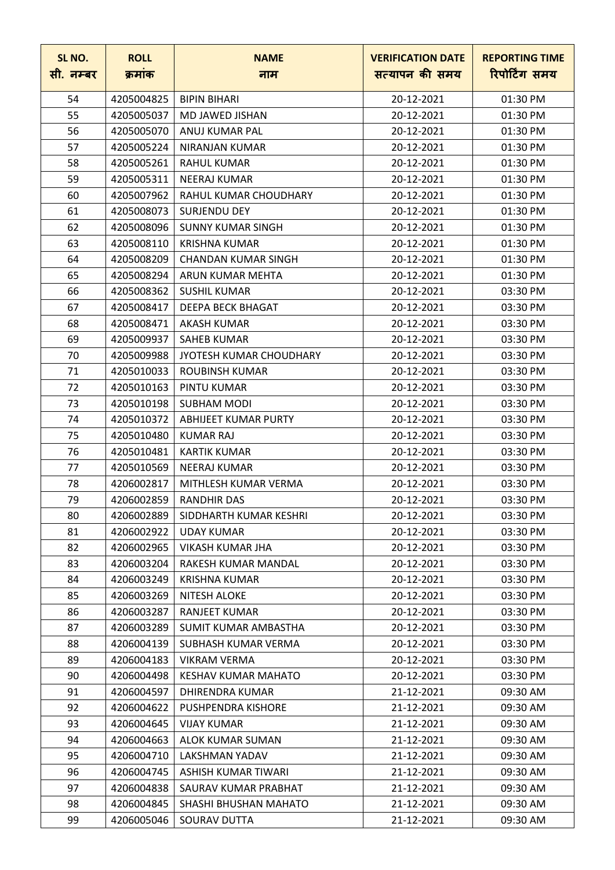| SL NO.<br>सी. नम्बर | <b>ROLL</b><br>क्रमांक | <b>NAME</b><br>नाम          | <b>VERIFICATION DATE</b><br>सत्यापन की समय | <b>REPORTING TIME</b><br>रिपोर्टिंग समय |
|---------------------|------------------------|-----------------------------|--------------------------------------------|-----------------------------------------|
| 54                  | 4205004825             | <b>BIPIN BIHARI</b>         | 20-12-2021                                 | 01:30 PM                                |
| 55                  | 4205005037             | MD JAWED JISHAN             | 20-12-2021                                 | 01:30 PM                                |
| 56                  | 4205005070             | ANUJ KUMAR PAL              | 20-12-2021                                 | 01:30 PM                                |
| 57                  | 4205005224             | NIRANJAN KUMAR              | 20-12-2021                                 | 01:30 PM                                |
| 58                  | 4205005261             | <b>RAHUL KUMAR</b>          | 20-12-2021                                 | 01:30 PM                                |
| 59                  | 4205005311             | <b>NEERAJ KUMAR</b>         | 20-12-2021                                 | 01:30 PM                                |
| 60                  | 4205007962             | RAHUL KUMAR CHOUDHARY       | 20-12-2021                                 | 01:30 PM                                |
| 61                  | 4205008073             | <b>SURJENDU DEY</b>         | 20-12-2021                                 | 01:30 PM                                |
| 62                  | 4205008096             | <b>SUNNY KUMAR SINGH</b>    | 20-12-2021                                 | 01:30 PM                                |
| 63                  | 4205008110             | <b>KRISHNA KUMAR</b>        | 20-12-2021                                 | 01:30 PM                                |
| 64                  | 4205008209             | <b>CHANDAN KUMAR SINGH</b>  | 20-12-2021                                 | 01:30 PM                                |
| 65                  | 4205008294             | ARUN KUMAR MEHTA            | 20-12-2021                                 | 01:30 PM                                |
| 66                  | 4205008362             | <b>SUSHIL KUMAR</b>         | 20-12-2021                                 | 03:30 PM                                |
| 67                  | 4205008417             | DEEPA BECK BHAGAT           | 20-12-2021                                 | 03:30 PM                                |
| 68                  | 4205008471             | <b>AKASH KUMAR</b>          | 20-12-2021                                 | 03:30 PM                                |
| 69                  | 4205009937             | <b>SAHEB KUMAR</b>          | 20-12-2021                                 | 03:30 PM                                |
| 70                  | 4205009988             | JYOTESH KUMAR CHOUDHARY     | 20-12-2021                                 | 03:30 PM                                |
| 71                  | 4205010033             | <b>ROUBINSH KUMAR</b>       | 20-12-2021                                 | 03:30 PM                                |
| 72                  | 4205010163             | PINTU KUMAR                 | 20-12-2021                                 | 03:30 PM                                |
| 73                  | 4205010198             | <b>SUBHAM MODI</b>          | 20-12-2021                                 | 03:30 PM                                |
| 74                  | 4205010372             | ABHIJEET KUMAR PURTY        | 20-12-2021                                 | 03:30 PM                                |
| 75                  | 4205010480             | <b>KUMAR RAJ</b>            | 20-12-2021                                 | 03:30 PM                                |
| 76                  | 4205010481             | <b>KARTIK KUMAR</b>         | 20-12-2021                                 | 03:30 PM                                |
| 77                  | 4205010569             | <b>NEERAJ KUMAR</b>         | 20-12-2021                                 | 03:30 PM                                |
| 78                  | 4206002817             | MITHLESH KUMAR VERMA        | 20-12-2021                                 | 03:30 PM                                |
| 79                  | 4206002859             | <b>RANDHIR DAS</b>          | 20-12-2021                                 | 03:30 PM                                |
| 80                  | 4206002889             | SIDDHARTH KUMAR KESHRI      | 20-12-2021                                 | 03:30 PM                                |
| 81                  | 4206002922             | <b>UDAY KUMAR</b>           | 20-12-2021                                 | 03:30 PM                                |
| 82                  | 4206002965             | VIKASH KUMAR JHA            | 20-12-2021                                 | 03:30 PM                                |
| 83                  | 4206003204             | RAKESH KUMAR MANDAL         | 20-12-2021                                 | 03:30 PM                                |
| 84                  | 4206003249             | <b>KRISHNA KUMAR</b>        | 20-12-2021                                 | 03:30 PM                                |
| 85                  | 4206003269             | <b>NITESH ALOKE</b>         | 20-12-2021                                 | 03:30 PM                                |
| 86                  | 4206003287             | RANJEET KUMAR               | 20-12-2021                                 | 03:30 PM                                |
| 87                  | 4206003289             | <b>SUMIT KUMAR AMBASTHA</b> | 20-12-2021                                 | 03:30 PM                                |
| 88                  | 4206004139             | SUBHASH KUMAR VERMA         | 20-12-2021                                 | 03:30 PM                                |
| 89                  | 4206004183             | <b>VIKRAM VERMA</b>         | 20-12-2021                                 | 03:30 PM                                |
| 90                  | 4206004498             | KESHAV KUMAR MAHATO         | 20-12-2021                                 | 03:30 PM                                |
| 91                  | 4206004597             | <b>DHIRENDRA KUMAR</b>      | 21-12-2021                                 | 09:30 AM                                |
| 92                  | 4206004622             | PUSHPENDRA KISHORE          | 21-12-2021                                 | 09:30 AM                                |
| 93                  | 4206004645             | <b>VIJAY KUMAR</b>          | 21-12-2021                                 | 09:30 AM                                |
| 94                  | 4206004663             | ALOK KUMAR SUMAN            | 21-12-2021                                 | 09:30 AM                                |
| 95                  | 4206004710             | LAKSHMAN YADAV              | 21-12-2021                                 | 09:30 AM                                |
| 96                  | 4206004745             | ASHISH KUMAR TIWARI         | 21-12-2021                                 | 09:30 AM                                |
| 97                  | 4206004838             | SAURAV KUMAR PRABHAT        | 21-12-2021                                 | 09:30 AM                                |
| 98                  | 4206004845             | SHASHI BHUSHAN MAHATO       | 21-12-2021                                 | 09:30 AM                                |
| 99                  | 4206005046             | SOURAV DUTTA                | 21-12-2021                                 | 09:30 AM                                |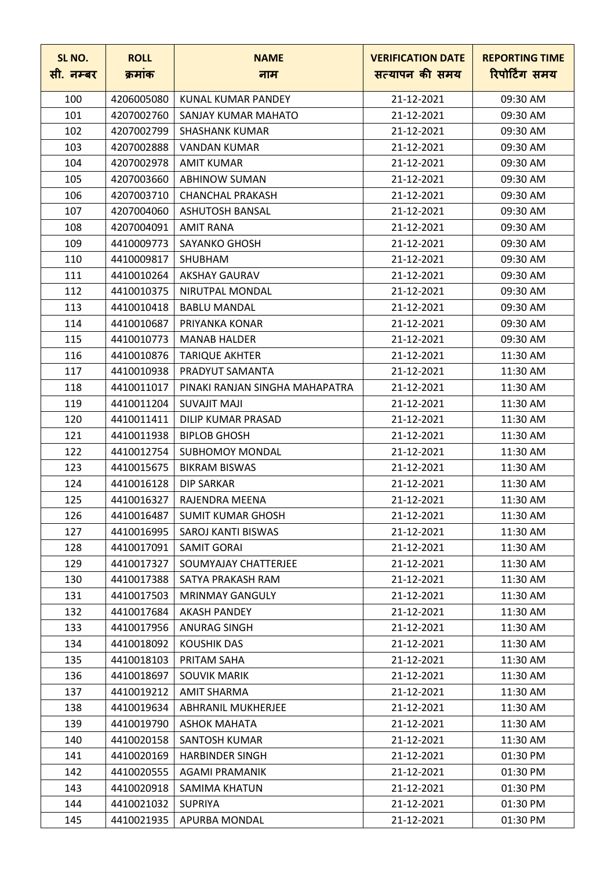| SL NO.<br>सी. नम्बर | <b>ROLL</b><br>क्रमांक | <b>NAME</b><br>नाम             | <b>VERIFICATION DATE</b><br>सत्यापन की समय | <b>REPORTING TIME</b><br>रिपोर्टिंग समय |
|---------------------|------------------------|--------------------------------|--------------------------------------------|-----------------------------------------|
| 100                 | 4206005080             | KUNAL KUMAR PANDEY             | 21-12-2021                                 | 09:30 AM                                |
| 101                 | 4207002760             | SANJAY KUMAR MAHATO            | 21-12-2021                                 | 09:30 AM                                |
| 102                 | 4207002799             | <b>SHASHANK KUMAR</b>          | 21-12-2021                                 | 09:30 AM                                |
| 103                 | 4207002888             | <b>VANDAN KUMAR</b>            | 21-12-2021                                 | 09:30 AM                                |
| 104                 | 4207002978             | AMIT KUMAR                     | 21-12-2021                                 | 09:30 AM                                |
| 105                 | 4207003660             | <b>ABHINOW SUMAN</b>           | 21-12-2021                                 | 09:30 AM                                |
| 106                 | 4207003710             | <b>CHANCHAL PRAKASH</b>        | 21-12-2021                                 | 09:30 AM                                |
| 107                 | 4207004060             | <b>ASHUTOSH BANSAL</b>         | 21-12-2021                                 | 09:30 AM                                |
| 108                 | 4207004091             | <b>AMIT RANA</b>               | 21-12-2021                                 | 09:30 AM                                |
| 109                 | 4410009773             | <b>SAYANKO GHOSH</b>           | 21-12-2021                                 | 09:30 AM                                |
| 110                 | 4410009817             | <b>SHUBHAM</b>                 | 21-12-2021                                 | 09:30 AM                                |
| 111                 | 4410010264             | <b>AKSHAY GAURAV</b>           | 21-12-2021                                 | 09:30 AM                                |
| 112                 | 4410010375             | NIRUTPAL MONDAL                | 21-12-2021                                 | 09:30 AM                                |
| 113                 | 4410010418             | <b>BABLU MANDAL</b>            | 21-12-2021                                 | 09:30 AM                                |
| 114                 | 4410010687             | PRIYANKA KONAR                 | 21-12-2021                                 | 09:30 AM                                |
| 115                 | 4410010773             | <b>MANAB HALDER</b>            | 21-12-2021                                 | 09:30 AM                                |
| 116                 | 4410010876             | <b>TARIQUE AKHTER</b>          | 21-12-2021                                 | 11:30 AM                                |
| 117                 | 4410010938             | PRADYUT SAMANTA                | 21-12-2021                                 | 11:30 AM                                |
| 118                 | 4410011017             | PINAKI RANJAN SINGHA MAHAPATRA | 21-12-2021                                 | 11:30 AM                                |
| 119                 | 4410011204             | <b>SUVAJIT MAJI</b>            | 21-12-2021                                 | 11:30 AM                                |
| 120                 | 4410011411             | <b>DILIP KUMAR PRASAD</b>      | 21-12-2021                                 | 11:30 AM                                |
| 121                 | 4410011938             | <b>BIPLOB GHOSH</b>            | 21-12-2021                                 | 11:30 AM                                |
| 122                 | 4410012754             | <b>SUBHOMOY MONDAL</b>         | 21-12-2021                                 | 11:30 AM                                |
| 123                 | 4410015675             | <b>BIKRAM BISWAS</b>           | 21-12-2021                                 | 11:30 AM                                |
| 124                 | 4410016128             | <b>DIP SARKAR</b>              | 21-12-2021                                 | 11:30 AM                                |
| 125                 | 4410016327             | RAJENDRA MEENA                 | 21-12-2021                                 | 11:30 AM                                |
| 126                 | 4410016487             | <b>SUMIT KUMAR GHOSH</b>       | 21-12-2021                                 | 11:30 AM                                |
| 127                 | 4410016995             | SAROJ KANTI BISWAS             | 21-12-2021                                 | 11:30 AM                                |
| 128                 | 4410017091             | <b>SAMIT GORAI</b>             | 21-12-2021                                 | 11:30 AM                                |
| 129                 | 4410017327             | SOUMYAJAY CHATTERJEE           | 21-12-2021                                 | 11:30 AM                                |
| 130                 | 4410017388             | SATYA PRAKASH RAM              | 21-12-2021                                 | 11:30 AM                                |
| 131                 | 4410017503             | <b>MRINMAY GANGULY</b>         | 21-12-2021                                 | 11:30 AM                                |
| 132                 | 4410017684             | <b>AKASH PANDEY</b>            | 21-12-2021                                 | 11:30 AM                                |
| 133                 | 4410017956             | <b>ANURAG SINGH</b>            | 21-12-2021                                 | 11:30 AM                                |
| 134                 | 4410018092             | <b>KOUSHIK DAS</b>             | 21-12-2021                                 | 11:30 AM                                |
| 135                 | 4410018103             | PRITAM SAHA                    | 21-12-2021                                 | 11:30 AM                                |
| 136                 | 4410018697             | <b>SOUVIK MARIK</b>            | 21-12-2021                                 | 11:30 AM                                |
| 137                 | 4410019212             | <b>AMIT SHARMA</b>             | 21-12-2021                                 | 11:30 AM                                |
| 138                 | 4410019634             | ABHRANIL MUKHERJEE             | 21-12-2021                                 | 11:30 AM                                |
| 139                 | 4410019790             | <b>ASHOK MAHATA</b>            | 21-12-2021                                 | 11:30 AM                                |
| 140                 | 4410020158             | SANTOSH KUMAR                  | 21-12-2021                                 | 11:30 AM                                |
| 141                 | 4410020169             | <b>HARBINDER SINGH</b>         | 21-12-2021                                 | 01:30 PM                                |
| 142                 | 4410020555             | <b>AGAMI PRAMANIK</b>          | 21-12-2021                                 | 01:30 PM                                |
| 143                 | 4410020918             | <b>SAMIMA KHATUN</b>           | 21-12-2021                                 | 01:30 PM                                |
| 144                 | 4410021032             | <b>SUPRIYA</b>                 | 21-12-2021                                 | 01:30 PM                                |
| 145                 | 4410021935             | APURBA MONDAL                  | 21-12-2021                                 | 01:30 PM                                |